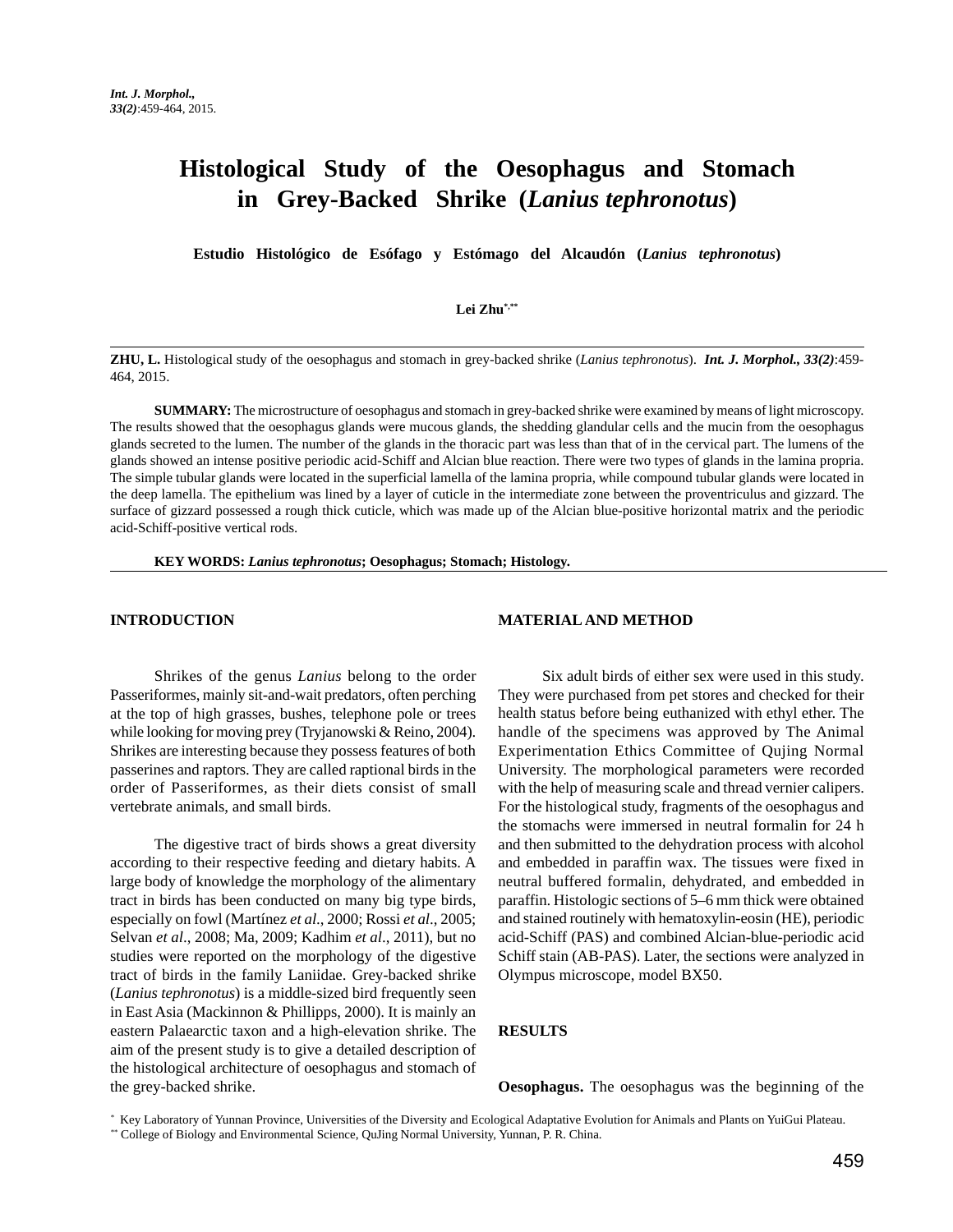# **Histological Study of the Oesophagus and Stomach in Grey-Backed Shrike (***Lanius tephronotus***)**

**Estudio Histológico de Esófago y Estómago del Alcaudón (***Lanius tephronotus***)**

## **Lei Zhu\*,\*\***

**ZHU, L.** Histological study of the oesophagus and stomach in grey-backed shrike (*Lanius tephronotus*). *Int. J. Morphol., 33(2)*:459- 464, 2015.

**SUMMARY:** The microstructure of oesophagus and stomach in grey-backed shrike were examined by means of light microscopy. The results showed that the oesophagus glands were mucous glands, the shedding glandular cells and the mucin from the oesophagus glands secreted to the lumen. The number of the glands in the thoracic part was less than that of in the cervical part. The lumens of the glands showed an intense positive periodic acid-Schiff and Alcian blue reaction. There were two types of glands in the lamina propria. The simple tubular glands were located in the superficial lamella of the lamina propria, while compound tubular glands were located in the deep lamella. The epithelium was lined by a layer of cuticle in the intermediate zone between the proventriculus and gizzard. The surface of gizzard possessed a rough thick cuticle, which was made up of the Alcian blue-positive horizontal matrix and the periodic acid-Schiff-positive vertical rods.

**KEY WORDS:** *Lanius tephronotus***; Oesophagus; Stomach; Histology.**

#### **INTRODUCTION**

#### **MATERIAL AND METHOD**

Shrikes of the genus *Lanius* belong to the order Passeriformes, mainly sit-and-wait predators, often perching at the top of high grasses, bushes, telephone pole or trees while looking for moving prey (Tryjanowski & Reino, 2004). Shrikes are interesting because they possess features of both passerines and raptors. They are called raptional birds in the order of Passeriformes, as their diets consist of small vertebrate animals, and small birds.

The digestive tract of birds shows a great diversity according to their respective feeding and dietary habits. A large body of knowledge the morphology of the alimentary tract in birds has been conducted on many big type birds, especially on fowl (Martínez *et al*., 2000; Rossi *et al*., 2005; Selvan *et al*., 2008; Ma, 2009; Kadhim *et al*., 2011), but no studies were reported on the morphology of the digestive tract of birds in the family Laniidae. Grey-backed shrike (*Lanius tephronotus*) is a middle-sized bird frequently seen in East Asia (Mackinnon & Phillipps, 2000). It is mainly an eastern Palaearctic taxon and a high-elevation shrike. The aim of the present study is to give a detailed description of the histological architecture of oesophagus and stomach of the grey-backed shrike.

Six adult birds of either sex were used in this study. They were purchased from pet stores and checked for their health status before being euthanized with ethyl ether. The handle of the specimens was approved by The Animal Experimentation Ethics Committee of Qujing Normal University. The morphological parameters were recorded with the help of measuring scale and thread vernier calipers. For the histological study, fragments of the oesophagus and the stomachs were immersed in neutral formalin for 24 h and then submitted to the dehydration process with alcohol and embedded in paraffin wax. The tissues were fixed in neutral buffered formalin, dehydrated, and embedded in paraffin. Histologic sections of 5–6 mm thick were obtained and stained routinely with hematoxylin-eosin (HE), periodic acid-Schiff (PAS) and combined Alcian-blue-periodic acid Schiff stain (AB-PAS). Later, the sections were analyzed in Olympus microscope, model BX50.

## **RESULTS**

**Oesophagus.** The oesophagus was the beginning of the

<sup>\*</sup> Key Laboratory of Yunnan Province, Universities of the Diversity and Ecological Adaptative Evolution for Animals and Plants on YuiGui Plateau.

<sup>\*\*</sup> College of Biology and Environmental Science, QuJing Normal University, Yunnan, P. R. China.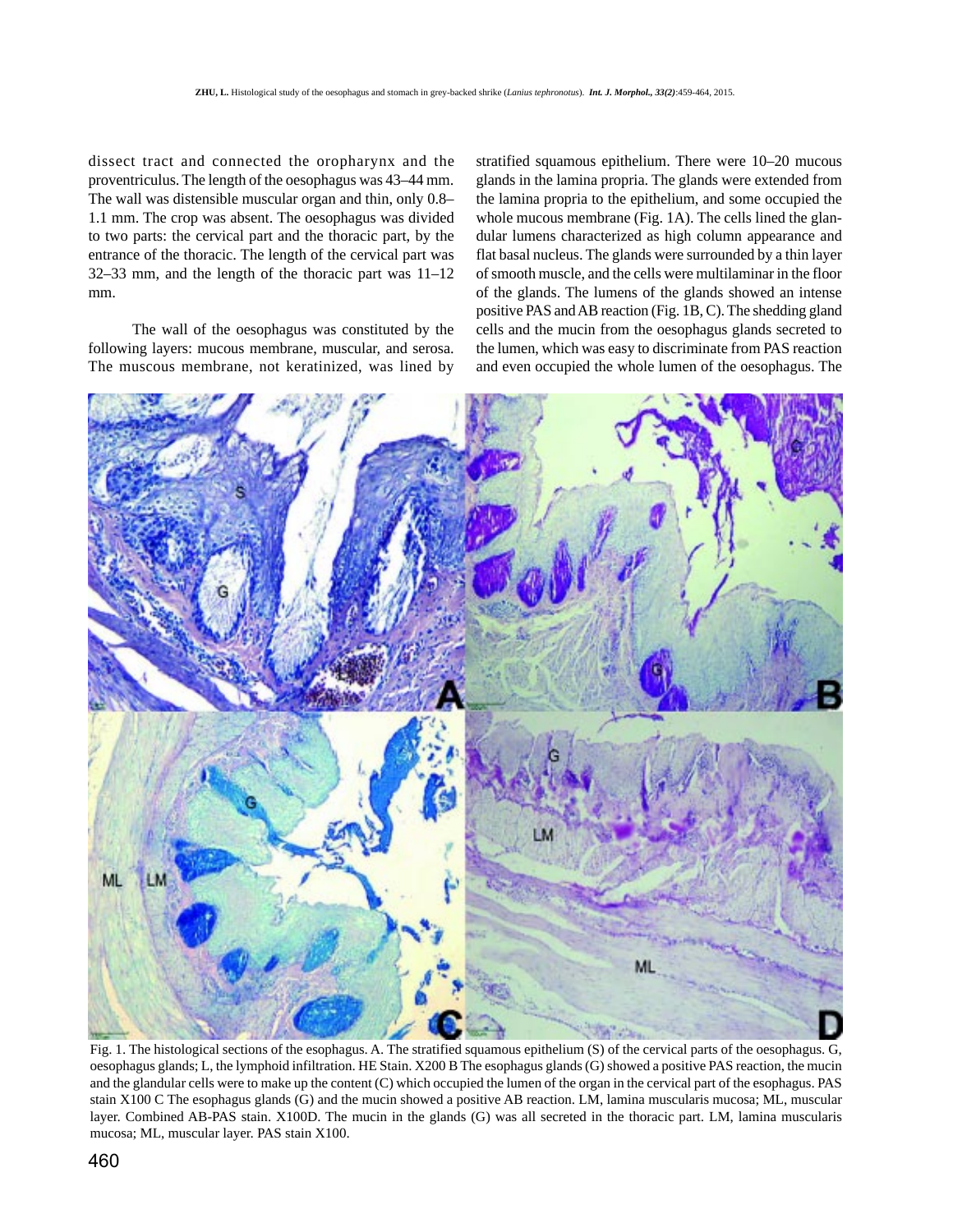dissect tract and connected the oropharynx and the proventriculus. The length of the oesophagus was 43–44 mm. The wall was distensible muscular organ and thin, only 0.8– 1.1 mm. The crop was absent. The oesophagus was divided to two parts: the cervical part and the thoracic part, by the entrance of the thoracic. The length of the cervical part was 32–33 mm, and the length of the thoracic part was 11–12 mm.

The wall of the oesophagus was constituted by the following layers: mucous membrane, muscular, and serosa. The muscous membrane, not keratinized, was lined by

stratified squamous epithelium. There were 10–20 mucous glands in the lamina propria. The glands were extended from the lamina propria to the epithelium, and some occupied the whole mucous membrane (Fig. 1A). The cells lined the glandular lumens characterized as high column appearance and flat basal nucleus. The glands were surrounded by a thin layer of smooth muscle, and the cells were multilaminar in the floor of the glands. The lumens of the glands showed an intense positive PAS and AB reaction (Fig. 1B, C). The shedding gland cells and the mucin from the oesophagus glands secreted to the lumen, which was easy to discriminate from PAS reaction and even occupied the whole lumen of the oesophagus. The



Fig. 1. The histological sections of the esophagus. A. The stratified squamous epithelium (S) of the cervical parts of the oesophagus. G, oesophagus glands; L, the lymphoid infiltration. HE Stain. X200 B The esophagus glands (G) showed a positive PAS reaction, the mucin and the glandular cells were to make up the content (C) which occupied the lumen of the organ in the cervical part of the esophagus. PAS stain X100 C The esophagus glands (G) and the mucin showed a positive AB reaction. LM, lamina muscularis mucosa; ML, muscular layer. Combined AB-PAS stain. X100D. The mucin in the glands (G) was all secreted in the thoracic part. LM, lamina muscularis mucosa; ML, muscular layer. PAS stain X100.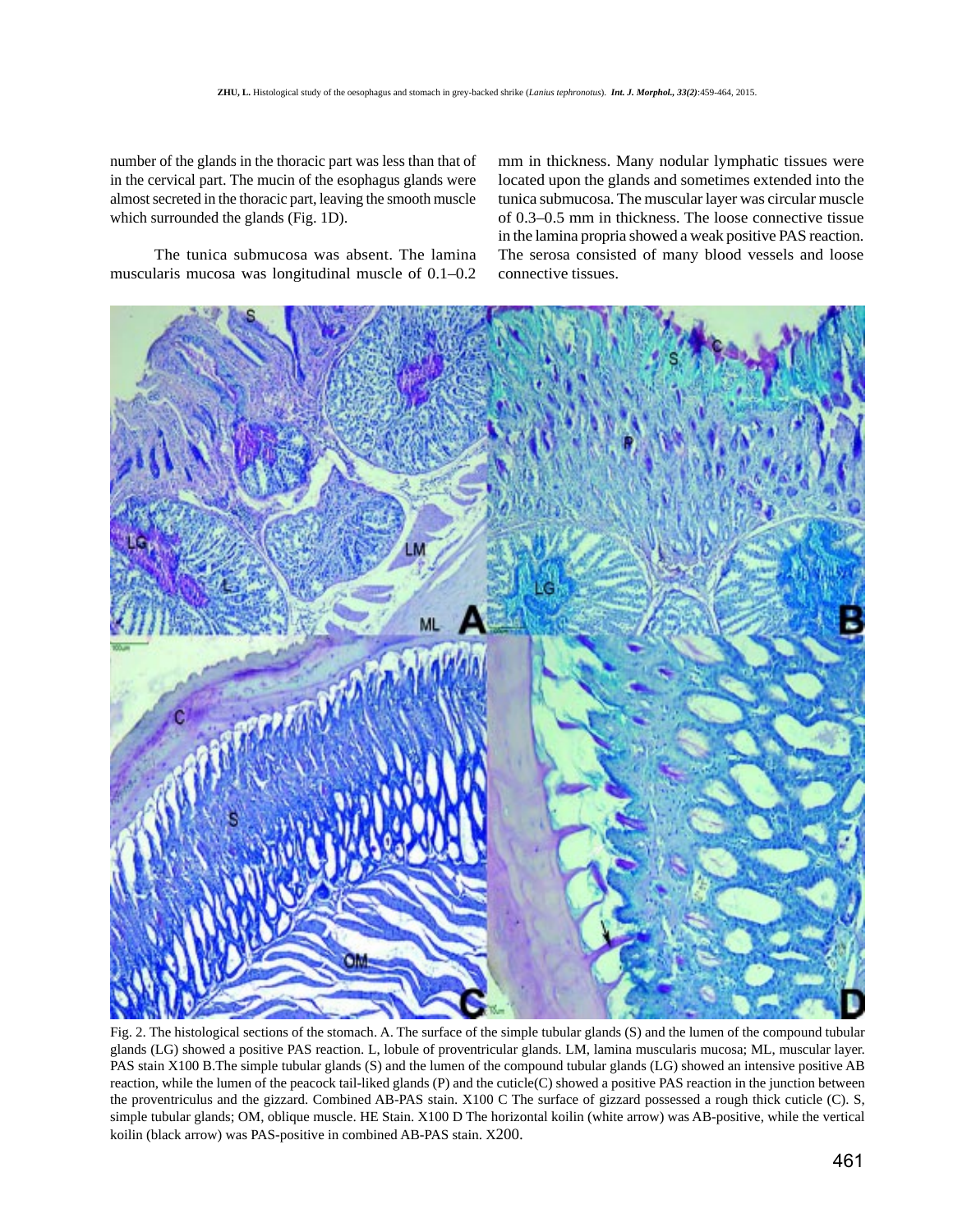number of the glands in the thoracic part was less than that of in the cervical part. The mucin of the esophagus glands were almost secreted in the thoracic part, leaving the smooth muscle which surrounded the glands (Fig. 1D).

The tunica submucosa was absent. The lamina muscularis mucosa was longitudinal muscle of 0.1–0.2 mm in thickness. Many nodular lymphatic tissues were located upon the glands and sometimes extended into the tunica submucosa. The muscular layer was circular muscle of 0.3–0.5 mm in thickness. The loose connective tissue in the lamina propria showed a weak positive PAS reaction. The serosa consisted of many blood vessels and loose connective tissues.



Fig. 2. The histological sections of the stomach. A. The surface of the simple tubular glands (S) and the lumen of the compound tubular glands (LG) showed a positive PAS reaction. L, lobule of proventricular glands. LM, lamina muscularis mucosa; ML, muscular layer. PAS stain X100 B.The simple tubular glands (S) and the lumen of the compound tubular glands (LG) showed an intensive positive AB reaction, while the lumen of the peacock tail-liked glands (P) and the cuticle(C) showed a positive PAS reaction in the junction between the proventriculus and the gizzard. Combined AB-PAS stain. X100 C The surface of gizzard possessed a rough thick cuticle (C). S, simple tubular glands; OM, oblique muscle. HE Stain. X100 D The horizontal koilin (white arrow) was AB-positive, while the vertical koilin (black arrow) was PAS-positive in combined AB-PAS stain. X200.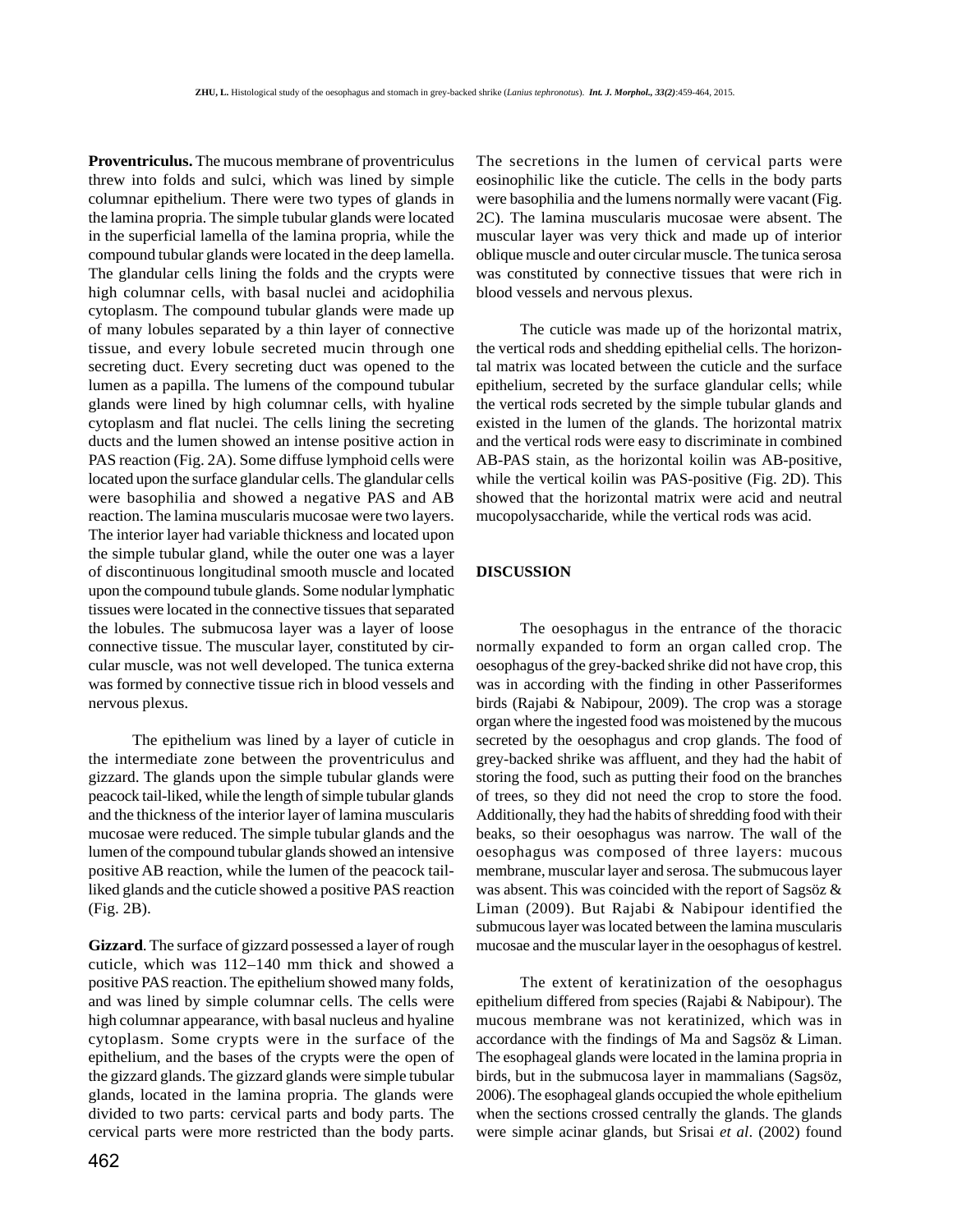**Proventriculus.** The mucous membrane of proventriculus threw into folds and sulci, which was lined by simple columnar epithelium. There were two types of glands in the lamina propria. The simple tubular glands were located in the superficial lamella of the lamina propria, while the compound tubular glands were located in the deep lamella. The glandular cells lining the folds and the crypts were high columnar cells, with basal nuclei and acidophilia cytoplasm. The compound tubular glands were made up of many lobules separated by a thin layer of connective tissue, and every lobule secreted mucin through one secreting duct. Every secreting duct was opened to the lumen as a papilla. The lumens of the compound tubular glands were lined by high columnar cells, with hyaline cytoplasm and flat nuclei. The cells lining the secreting ducts and the lumen showed an intense positive action in PAS reaction (Fig. 2A). Some diffuse lymphoid cells were located upon the surface glandular cells. The glandular cells were basophilia and showed a negative PAS and AB reaction. The lamina muscularis mucosae were two layers. The interior layer had variable thickness and located upon the simple tubular gland, while the outer one was a layer of discontinuous longitudinal smooth muscle and located upon the compound tubule glands. Some nodular lymphatic tissues were located in the connective tissues that separated the lobules. The submucosa layer was a layer of loose connective tissue. The muscular layer, constituted by circular muscle, was not well developed. The tunica externa was formed by connective tissue rich in blood vessels and nervous plexus.

The epithelium was lined by a layer of cuticle in the intermediate zone between the proventriculus and gizzard. The glands upon the simple tubular glands were peacock tail-liked, while the length of simple tubular glands and the thickness of the interior layer of lamina muscularis mucosae were reduced. The simple tubular glands and the lumen of the compound tubular glands showed an intensive positive AB reaction, while the lumen of the peacock tailliked glands and the cuticle showed a positive PAS reaction (Fig. 2B).

**Gizzard**. The surface of gizzard possessed a layer of rough cuticle, which was 112–140 mm thick and showed a positive PAS reaction. The epithelium showed many folds, and was lined by simple columnar cells. The cells were high columnar appearance, with basal nucleus and hyaline cytoplasm. Some crypts were in the surface of the epithelium, and the bases of the crypts were the open of the gizzard glands. The gizzard glands were simple tubular glands, located in the lamina propria. The glands were divided to two parts: cervical parts and body parts. The cervical parts were more restricted than the body parts.

The secretions in the lumen of cervical parts were eosinophilic like the cuticle. The cells in the body parts were basophilia and the lumens normally were vacant (Fig. 2C). The lamina muscularis mucosae were absent. The muscular layer was very thick and made up of interior oblique muscle and outer circular muscle. The tunica serosa was constituted by connective tissues that were rich in blood vessels and nervous plexus.

The cuticle was made up of the horizontal matrix, the vertical rods and shedding epithelial cells. The horizontal matrix was located between the cuticle and the surface epithelium, secreted by the surface glandular cells; while the vertical rods secreted by the simple tubular glands and existed in the lumen of the glands. The horizontal matrix and the vertical rods were easy to discriminate in combined AB-PAS stain, as the horizontal koilin was AB-positive, while the vertical koilin was PAS-positive (Fig. 2D). This showed that the horizontal matrix were acid and neutral mucopolysaccharide, while the vertical rods was acid.

### **DISCUSSION**

The oesophagus in the entrance of the thoracic normally expanded to form an organ called crop. The oesophagus of the grey-backed shrike did not have crop, this was in according with the finding in other Passeriformes birds (Rajabi & Nabipour, 2009). The crop was a storage organ where the ingested food was moistened by the mucous secreted by the oesophagus and crop glands. The food of grey-backed shrike was affluent, and they had the habit of storing the food, such as putting their food on the branches of trees, so they did not need the crop to store the food. Additionally, they had the habits of shredding food with their beaks, so their oesophagus was narrow. The wall of the oesophagus was composed of three layers: mucous membrane, muscular layer and serosa. The submucous layer was absent. This was coincided with the report of Sagsöz & Liman (2009). But Rajabi & Nabipour identified the submucous layer was located between the lamina muscularis mucosae and the muscular layer in the oesophagus of kestrel.

The extent of keratinization of the oesophagus epithelium differed from species (Rajabi & Nabipour). The mucous membrane was not keratinized, which was in accordance with the findings of Ma and Sagsöz & Liman. The esophageal glands were located in the lamina propria in birds, but in the submucosa layer in mammalians (Sagsöz, 2006). The esophageal glands occupied the whole epithelium when the sections crossed centrally the glands. The glands were simple acinar glands, but Srisai *et al*. (2002) found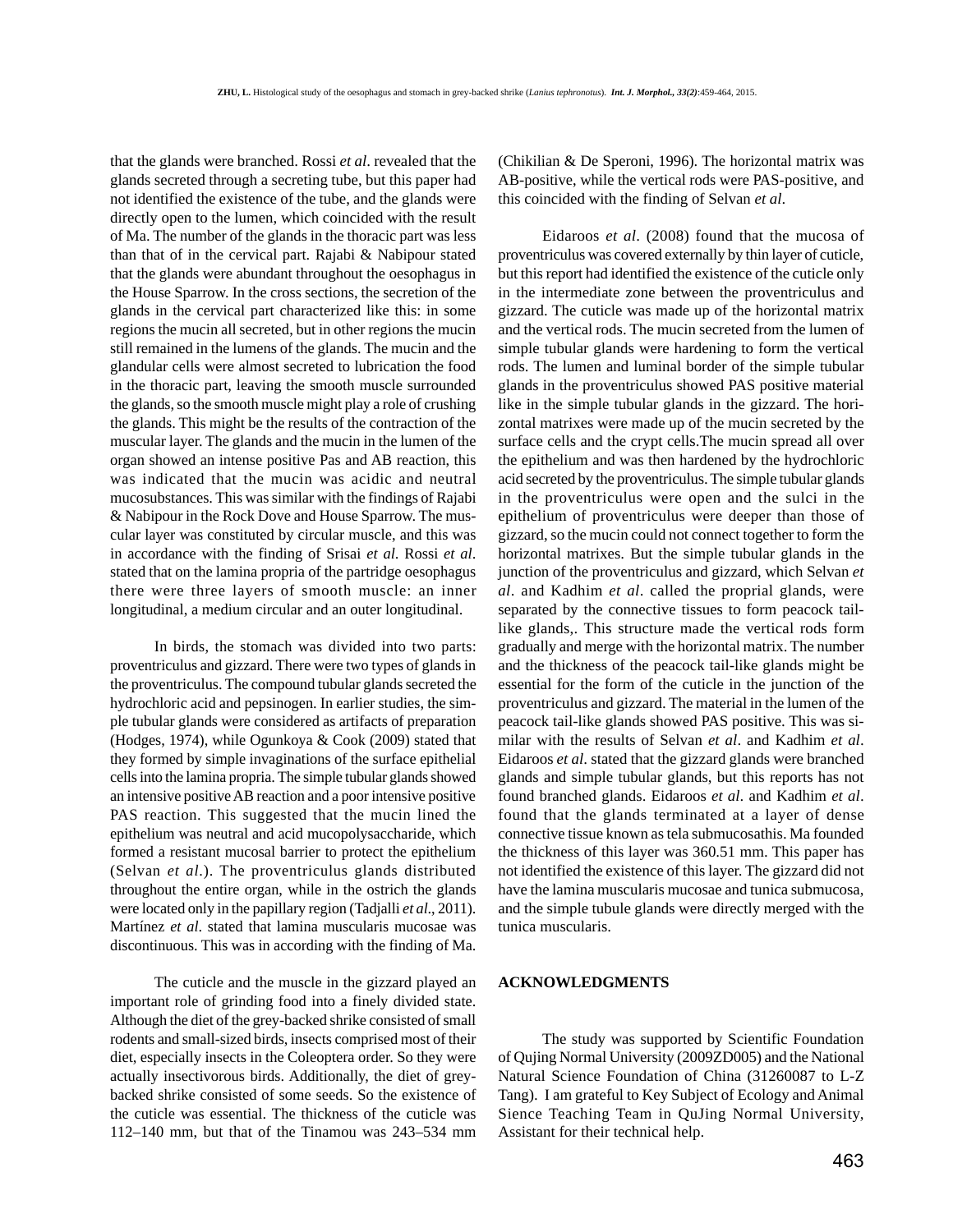that the glands were branched. Rossi *et al*. revealed that the glands secreted through a secreting tube, but this paper had not identified the existence of the tube, and the glands were directly open to the lumen, which coincided with the result of Ma. The number of the glands in the thoracic part was less than that of in the cervical part. Rajabi & Nabipour stated that the glands were abundant throughout the oesophagus in the House Sparrow. In the cross sections, the secretion of the glands in the cervical part characterized like this: in some regions the mucin all secreted, but in other regions the mucin still remained in the lumens of the glands. The mucin and the glandular cells were almost secreted to lubrication the food in the thoracic part, leaving the smooth muscle surrounded the glands, so the smooth muscle might play a role of crushing the glands. This might be the results of the contraction of the muscular layer. The glands and the mucin in the lumen of the organ showed an intense positive Pas and AB reaction, this was indicated that the mucin was acidic and neutral mucosubstances. This was similar with the findings of Rajabi & Nabipour in the Rock Dove and House Sparrow. The muscular layer was constituted by circular muscle, and this was in accordance with the finding of Srisai *et al*. Rossi *et al*. stated that on the lamina propria of the partridge oesophagus there were three layers of smooth muscle: an inner longitudinal, a medium circular and an outer longitudinal.

In birds, the stomach was divided into two parts: proventriculus and gizzard. There were two types of glands in the proventriculus. The compound tubular glands secreted the hydrochloric acid and pepsinogen. In earlier studies, the simple tubular glands were considered as artifacts of preparation (Hodges, 1974), while Ogunkoya & Cook (2009) stated that they formed by simple invaginations of the surface epithelial cells into the lamina propria. The simple tubular glands showed an intensive positive AB reaction and a poor intensive positive PAS reaction. This suggested that the mucin lined the epithelium was neutral and acid mucopolysaccharide, which formed a resistant mucosal barrier to protect the epithelium (Selvan *et al*.). The proventriculus glands distributed throughout the entire organ, while in the ostrich the glands were located only in the papillary region (Tadjalli *et al*., 2011). Martínez *et al*. stated that lamina muscularis mucosae was discontinuous. This was in according with the finding of Ma.

The cuticle and the muscle in the gizzard played an important role of grinding food into a finely divided state. Although the diet of the grey-backed shrike consisted of small rodents and small-sized birds, insects comprised most of their diet, especially insects in the Coleoptera order. So they were actually insectivorous birds. Additionally, the diet of greybacked shrike consisted of some seeds. So the existence of the cuticle was essential. The thickness of the cuticle was 112–140 mm, but that of the Tinamou was 243–534 mm

(Chikilian & De Speroni, 1996). The horizontal matrix was AB-positive, while the vertical rods were PAS-positive, and this coincided with the finding of Selvan *et al*.

Eidaroos *et al*. (2008) found that the mucosa of proventriculus was covered externally by thin layer of cuticle, but this report had identified the existence of the cuticle only in the intermediate zone between the proventriculus and gizzard. The cuticle was made up of the horizontal matrix and the vertical rods. The mucin secreted from the lumen of simple tubular glands were hardening to form the vertical rods. The lumen and luminal border of the simple tubular glands in the proventriculus showed PAS positive material like in the simple tubular glands in the gizzard. The horizontal matrixes were made up of the mucin secreted by the surface cells and the crypt cells.The mucin spread all over the epithelium and was then hardened by the hydrochloric acid secreted by the proventriculus. The simple tubular glands in the proventriculus were open and the sulci in the epithelium of proventriculus were deeper than those of gizzard, so the mucin could not connect together to form the horizontal matrixes. But the simple tubular glands in the junction of the proventriculus and gizzard, which Selvan *et al*. and Kadhim *et al*. called the proprial glands, were separated by the connective tissues to form peacock taillike glands,. This structure made the vertical rods form gradually and merge with the horizontal matrix. The number and the thickness of the peacock tail-like glands might be essential for the form of the cuticle in the junction of the proventriculus and gizzard. The material in the lumen of the peacock tail-like glands showed PAS positive. This was similar with the results of Selvan *et al*. and Kadhim *et al*. Eidaroos *et al*. stated that the gizzard glands were branched glands and simple tubular glands, but this reports has not found branched glands. Eidaroos *et al*. and Kadhim *et al*. found that the glands terminated at a layer of dense connective tissue known as tela submucosathis. Ma founded the thickness of this layer was 360.51 mm. This paper has not identified the existence of this layer. The gizzard did not have the lamina muscularis mucosae and tunica submucosa, and the simple tubule glands were directly merged with the tunica muscularis.

# **ACKNOWLEDGMENTS**

The study was supported by Scientific Foundation of Qujing Normal University (2009ZD005) and the National Natural Science Foundation of China (31260087 to L-Z Tang). I am grateful to Key Subject of Ecology and Animal Sience Teaching Team in QuJing Normal University, Assistant for their technical help.